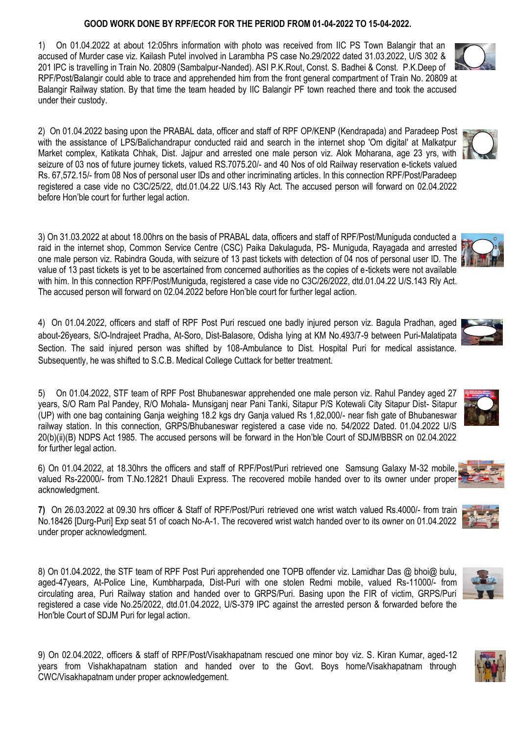## **GOOD WORK DONE BY RPF/ECOR FOR THE PERIOD FROM 01-04-2022 TO 15-04-2022.**

1) On 01.04.2022 at about 12:05hrs information with photo was received from IIC PS Town Balangir that an accused of Murder case viz. Kailash Putel involved in Larambha PS case No.29/2022 dated 31.03.2022, U/S 302 & 201 IPC is travelling in Train No. 20809 (Sambalpur-Nanded). ASI P.K.Rout, Const. S. Badhei & Const. P.K.Deep of RPF/Post/Balangir could able to trace and apprehended him from the front general compartment of Train No. 20809 at Balangir Railway station. By that time the team headed by IIC Balangir PF town reached there and took the accused under their custody.

2) On 01.04.2022 basing upon the PRABAL data, officer and staff of RPF OP/KENP (Kendrapada) and Paradeep Post with the assistance of LPS/Balichandrapur conducted raid and search in the internet shop 'Om digital' at Malkatpur Market complex, Katikata Chhak, Dist. Jajpur and arrested one male person viz. Alok Moharana, age 23 yrs, with seizure of 03 nos of future journey tickets, valued RS.7075.20/- and 40 Nos of old Railway reservation e-tickets valued Rs. 67,572.15/- from 08 Nos of personal user IDs and other incriminating articles. In this connection RPF/Post/Paradeep registered a case vide no C3C/25/22, dtd.01.04.22 U/S.143 Rly Act. The accused person will forward on 02.04.2022 before Hon'ble court for further legal action.

3) On 31.03.2022 at about 18.00hrs on the basis of PRABAL data, officers and staff of RPF/Post/Muniguda conducted a raid in the internet shop, Common Service Centre (CSC) Paika Dakulaguda, PS- Muniguda, Rayagada and arrested one male person viz. Rabindra Gouda, with seizure of 13 past tickets with detection of 04 nos of personal user ID. The value of 13 past tickets is yet to be ascertained from concerned authorities as the copies of e-tickets were not available with him. In this connection RPF/Post/Muniguda, registered a case vide no C3C/26/2022, dtd.01.04.22 U/S.143 Rly Act. The accused person will forward on 02.04.2022 before Hon'ble court for further legal action.

4) On 01.04.2022, officers and staff of RPF Post Puri rescued one badly injured person viz. Bagula Pradhan, aged about-26years, S/O-Indrajeet Pradha, At-Soro, Dist-Balasore, Odisha lying at KM No.493/7-9 between Puri-Malatipata Section. The said injured person was shifted by 108-Ambulance to Dist. Hospital Puri for medical assistance. Subsequently, he was shifted to S.C.B. Medical College Cuttack for better treatment.

5) On 01.04.2022, STF team of RPF Post Bhubaneswar apprehended one male person viz. Rahul Pandey aged 27 years, S/O Ram Pal Pandey, R/O Mohala- Munsiganj near Pani Tanki, Sitapur P/S Kotewali City Sitapur Dist- Sitapur (UP) with one bag containing Ganja weighing 18.2 kgs dry Ganja valued Rs 1,82,000/- near fish gate of Bhubaneswar railway station. In this connection, GRPS/Bhubaneswar registered a case vide no. 54/2022 Dated. 01.04.2022 U/S 20(b)(ii)(B) NDPS Act 1985. The accused persons will be forward in the Hon'ble Court of SDJM/BBSR on 02.04.2022 for further legal action.

6) On 01.04.2022, at 18.30hrs the officers and staff of RPF/Post/Puri retrieved one Samsung Galaxy M-32 mobile, valued Rs-22000/- from T.No.12821 Dhauli Express. The recovered mobile handed over to its owner under proper acknowledgment.

**7)** On 26.03.2022 at 09.30 hrs officer & Staff of RPF/Post/Puri retrieved one wrist watch valued Rs.4000/- from train No.18426 [Durg-Puri] Exp seat 51 of coach No-A-1. The recovered wrist watch handed over to its owner on 01.04.2022 under proper acknowledgment.

8) On 01.04.2022, the STF team of RPF Post Puri apprehended one TOPB offender viz. Lamidhar Das @ bhoi@ bulu, aged-47years, At-Police Line, Kumbharpada, Dist-Puri with one stolen Redmi mobile, valued Rs-11000/- from circulating area, Puri Railway station and handed over to GRPS/Puri. Basing upon the FIR of victim, GRPS/Puri registered a case vide No.25/2022, dtd.01.04.2022, U/S-379 IPC against the arrested person & forwarded before the Hon'ble Court of SDJM Puri for legal action.

9) On 02.04.2022, officers & staff of RPF/Post/Visakhapatnam rescued one minor boy viz. S. Kiran Kumar, aged-12 years from Vishakhapatnam station and handed over to the Govt. Boys home/Visakhapatnam through CWC/Visakhapatnam under proper acknowledgement.













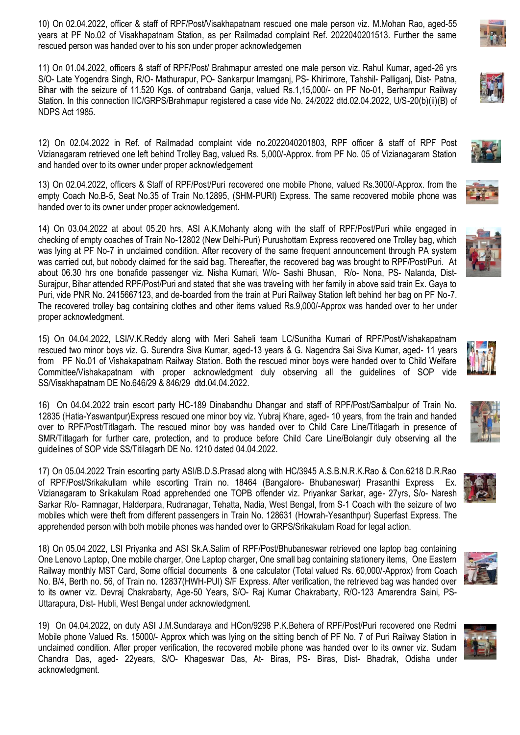10) On 02.04.2022, officer & staff of RPF/Post/Visakhapatnam rescued one male person viz. M.Mohan Rao, aged-55 years at PF No.02 of Visakhapatnam Station, as per Railmadad complaint Ref. 2022040201513. Further the same rescued person was handed over to his son under proper acknowledgemen

11) On 01.04.2022, officers & staff of RPF/Post/ Brahmapur arrested one male person viz. Rahul Kumar, aged-26 yrs S/O- Late Yogendra Singh, R/O- Mathurapur, PO- Sankarpur Imamganj, PS- Khirimore, Tahshil- Palliganj, Dist- Patna, Bihar with the seizure of 11.520 Kgs. of contraband Ganja, valued Rs.1,15,000/- on PF No-01, Berhampur Railway Station. In this connection IIC/GRPS/Brahmapur registered a case vide No. 24/2022 dtd.02.04.2022, U/S-20(b)(ii)(B) of NDPS Act 1985.

12) On 02.04.2022 in Ref. of Railmadad complaint vide no.2022040201803, RPF officer & staff of RPF Post Vizianagaram retrieved one left behind Trolley Bag, valued Rs. 5,000/-Approx. from PF No. 05 of Vizianagaram Station and handed over to its owner under proper acknowledgement

13) On 02.04.2022, officers & Staff of RPF/Post/Puri recovered one mobile Phone, valued Rs.3000/-Approx. from the empty Coach No.B-5, Seat No.35 of Train No.12895, (SHM-PURI) Express. The same recovered mobile phone was handed over to its owner under proper acknowledgement.

14) On 03.04.2022 at about 05.20 hrs, ASI A.K.Mohanty along with the staff of RPF/Post/Puri while engaged in checking of empty coaches of Train No-12802 (New Delhi-Puri) Purushottam Express recovered one Trolley bag, which was lying at PF No-7 in unclaimed condition. After recovery of the same frequent announcement through PA system was carried out, but nobody claimed for the said bag. Thereafter, the recovered bag was brought to RPF/Post/Puri. At about 06.30 hrs one bonafide passenger viz. Nisha Kumari, W/o- Sashi Bhusan, R/o- Nona, PS- Nalanda, Dist-Surajpur, Bihar attended RPF/Post/Puri and stated that she was traveling with her family in above said train Ex. Gaya to Puri, vide PNR No. 2415667123, and de-boarded from the train at Puri Railway Station left behind her bag on PF No-7. The recovered trolley bag containing clothes and other items valued Rs.9,000/-Approx was handed over to her under proper acknowledgment.

15) On 04.04.2022, LSI/V.K.Reddy along with Meri Saheli team LC/Sunitha Kumari of RPF/Post/Vishakapatnam rescued two minor boys viz. G. Surendra Siva Kumar, aged-13 years & G. Nagendra Sai Siva Kumar, aged- 11 years from PF No.01 of Vishakapatnam Railway Station. Both the rescued minor boys were handed over to Child Welfare Committee/Vishakapatnam with proper acknowledgment duly observing all the guidelines of SOP vide SS/Visakhapatnam DE No.646/29 & 846/29 dtd.04.04.2022.

16) On 04.04.2022 train escort party HC-189 Dinabandhu Dhangar and staff of RPF/Post/Sambalpur of Train No. 12835 (Hatia-Yaswantpur)Express rescued one minor boy viz. Yubraj Khare, aged- 10 years, from the train and handed over to RPF/Post/Titlagarh. The rescued minor boy was handed over to Child Care Line/Titlagarh in presence of SMR/Titlagarh for further care, protection, and to produce before Child Care Line/Bolangir duly observing all the guidelines of SOP vide SS/Titilagarh DE No. 1210 dated 04.04.2022.

17) On 05.04.2022 Train escorting party ASI/B.D.S.Prasad along with HC/3945 A.S.B.N.R.K.Rao & Con.6218 D.R.Rao of RPF/Post/Srikakullam while escorting Train no. 18464 (Bangalore- Bhubaneswar) Prasanthi Express Ex. Vizianagaram to Srikakulam Road apprehended one TOPB offender viz. Priyankar Sarkar, age- 27yrs, S/o- Naresh Sarkar R/o- Ramnagar, Halderpara, Rudranagar, Tehatta, Nadia, West Bengal, from S-1 Coach with the seizure of two mobiles which were theft from different passengers in Train No. 128631 (Howrah-Yesanthpur) Superfast Express. The apprehended person with both mobile phones was handed over to GRPS/Srikakulam Road for legal action.

18) On 05.04.2022, LSI Priyanka and ASI Sk.A.Salim of RPF/Post/Bhubaneswar retrieved one laptop bag containing One Lenovo Laptop, One mobile charger, One Laptop charger, One small bag containing stationery items, One Eastern Railway monthly MST Card, Some official documents & one calculator (Total valued Rs. 60,000/-Approx) from Coach No. B/4, Berth no. 56, of Train no. 12837(HWH-PUI) S/F Express. After verification, the retrieved bag was handed over to its owner viz. Devraj Chakrabarty, Age-50 Years, S/O- Raj Kumar Chakrabarty, R/O-123 Amarendra Saini, PS-Uttarapura, Dist- Hubli, West Bengal under acknowledgment.

19) On 04.04.2022, on duty ASI J.M.Sundaraya and HCon/9298 P.K.Behera of RPF/Post/Puri recovered one Redmi Mobile phone Valued Rs. 15000/- Approx which was lying on the sitting bench of PF No. 7 of Puri Railway Station in unclaimed condition. After proper verification, the recovered mobile phone was handed over to its owner viz. Sudam Chandra Das, aged- 22years, S/O- Khageswar Das, At- Biras, PS- Biras, Dist- Bhadrak, Odisha under acknowledgment.















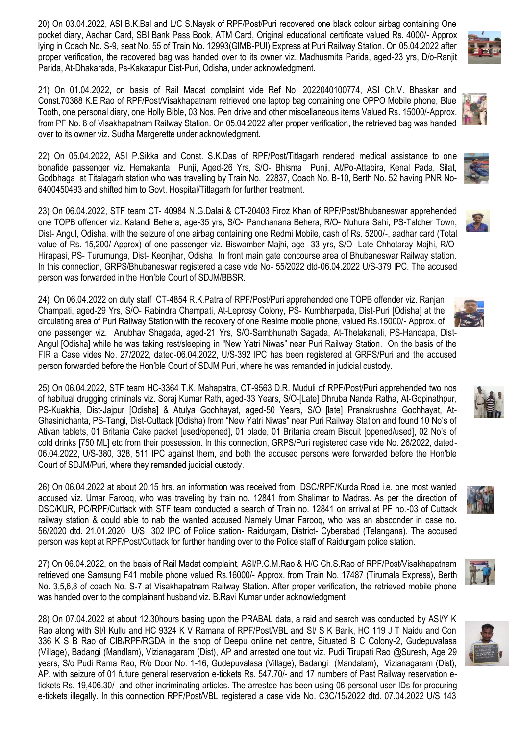20) On 03.04.2022, ASI B.K.Bal and L/C S.Nayak of RPF/Post/Puri recovered one black colour airbag containing One pocket diary, Aadhar Card, SBI Bank Pass Book, ATM Card, Original educational certificate valued Rs. 4000/- Approx lying in Coach No. S-9, seat No. 55 of Train No. 12993(GIMB-PUI) Express at Puri Railway Station. On 05.04.2022 after proper verification, the recovered bag was handed over to its owner viz. Madhusmita Parida, aged-23 yrs, D/o-Ranjit Parida, At-Dhakarada, Ps-Kakatapur Dist-Puri, Odisha, under acknowledgment.

21) On 01.04.2022, on basis of Rail Madat complaint vide Ref No. 2022040100774, ASI Ch.V. Bhaskar and Const.70388 K.E.Rao of RPF/Post/Visakhapatnam retrieved one laptop bag containing one OPPO Mobile phone, Blue Tooth, one personal diary, one Holly Bible, 03 Nos. Pen drive and other miscellaneous items Valued Rs. 15000/-Approx. from PF No. 8 of Visakhapatnam Railway Station. On 05.04.2022 after proper verification, the retrieved bag was handed over to its owner viz. Sudha Margerette under acknowledgment.

22) On 05.04.2022, ASI P.Sikka and Const. S.K.Das of RPF/Post/Titlagarh rendered medical assistance to one bonafide passenger viz. Hemakanta Punji, Aged-26 Yrs, S/O- Bhisma Punji, At/Po-Attabira, Kenal Pada, Silat, Godbhaga at Titalagarh station who was travelling by Train No. 22837, Coach No. B-10, Berth No. 52 having PNR No-6400450493 and shifted him to Govt. Hospital/Titlagarh for further treatment.

23) On 06.04.2022, STF team CT- 40984 N.G.Dalai & CT-20403 Firoz Khan of RPF/Post/Bhubaneswar apprehended one TOPB offender viz. Kalandi Behera, age-35 yrs, S/O- Panchanana Behera, R/O- Nuhura Sahi, PS-Talcher Town, Dist- Angul, Odisha. with the seizure of one airbag containing one Redmi Mobile, cash of Rs. 5200/-, aadhar card (Total value of Rs. 15,200/-Approx) of one passenger viz. Biswamber Majhi, age- 33 yrs, S/O- Late Chhotaray Majhi, R/O-Hirapasi, PS- Turumunga, Dist- Keonjhar, Odisha In front main gate concourse area of Bhubaneswar Railway station. In this connection, GRPS/Bhubaneswar registered a case vide No- 55/2022 dtd-06.04.2022 U/S-379 IPC. The accused person was forwarded in the Hon'ble Court of SDJM/BBSR.

24) On 06.04.2022 on duty staff CT-4854 R.K.Patra of RPF/Post/Puri apprehended one TOPB offender viz. Ranjan Champati, aged-29 Yrs, S/O- Rabindra Champati, At-Leprosy Colony, PS- Kumbharpada, Dist-Puri [Odisha] at the circulating area of Puri Railway Station with the recovery of one Realme mobile phone, valued Rs.15000/- Approx. of one passenger viz. Anubhav Shagada, aged-21 Yrs, S/O-Sambhunath Sagada, At-Thelakanali, PS-Handapa, Dist-Angul [Odisha] while he was taking rest/sleeping in "New Yatri Niwas" near Puri Railway Station. On the basis of the FIR a Case vides No. 27/2022, dated-06.04.2022, U/S-392 IPC has been registered at GRPS/Puri and the accused person forwarded before the Hon'ble Court of SDJM Puri, where he was remanded in judicial custody.

25) On 06.04.2022, STF team HC-3364 T.K. Mahapatra, CT-9563 D.R. Muduli of RPF/Post/Puri apprehended two nos of habitual drugging criminals viz. Soraj Kumar Rath, aged-33 Years, S/O-[Late] Dhruba Nanda Ratha, At-Gopinathpur, PS-Kuakhia, Dist-Jajpur [Odisha] & Atulya Gochhayat, aged-50 Years, S/O [late] Pranakrushna Gochhayat, At-Ghasinichanta, PS-Tangi, Dist-Cuttack [Odisha) from "New Yatri Niwas" near Puri Railway Station and found 10 No's of Ativan tablets, 01 Britania Cake packet [used/opened], 01 blade, 01 Britania cream Biscuit [opened/used], 02 No's of cold drinks [750 ML] etc from their possession. In this connection, GRPS/Puri registered case vide No. 26/2022, dated-06.04.2022, U/S-380, 328, 511 IPC against them, and both the accused persons were forwarded before the Hon'ble Court of SDJM/Puri, where they remanded judicial custody.

26) On 06.04.2022 at about 20.15 hrs. an information was received from DSC/RPF/Kurda Road i.e. one most wanted accused viz. Umar Farooq, who was traveling by train no. 12841 from Shalimar to Madras. As per the direction of DSC/KUR, PC/RPF/Cuttack with STF team conducted a search of Train no. 12841 on arrival at PF no.-03 of Cuttack railway station & could able to nab the wanted accused Namely Umar Farooq, who was an absconder in case no. 56/2020 dtd. 21.01.2020 U/S 302 IPC of Police station- Raidurgam, District- Cyberabad (Telangana). The accused person was kept at RPF/Post/Cuttack for further handing over to the Police staff of Raidurgam police station.

27) On 06.04.2022, on the basis of Rail Madat complaint, ASI/P.C.M.Rao & H/C Ch.S.Rao of RPF/Post/Visakhapatnam retrieved one Samsung F41 mobile phone valued Rs.16000/- Approx. from Train No. 17487 (Tirumala Express), Berth No. 3,5,6,8 of coach No. S-7 at Visakhapatnam Railway Station. After proper verification, the retrieved mobile phone was handed over to the complainant husband viz. B.Ravi Kumar under acknowledgment

28) On 07.04.2022 at about 12.30hours basing upon the PRABAL data, a raid and search was conducted by ASI/Y K Rao along with SI/I Kullu and HC 9324 K V Ramana of RPF/Post/VBL and SI/ S K Barik, HC 119 J T Naidu and Con 336 K S B Rao of CIB/RPF/RGDA in the shop of Deepu online net centre, Situated B C Colony-2, Gudepuvalasa (Village), Badangi (Mandlam), Vizianagaram (Dist), AP and arrested one tout viz. Pudi Tirupati Rao @Suresh, Age 29 years, S/o Pudi Rama Rao, R/o Door No. 1-16, Gudepuvalasa (Village), Badangi (Mandalam), Vizianagaram (Dist), AP. with seizure of 01 future general reservation e-tickets Rs. 547.70/- and 17 numbers of Past Railway reservation etickets Rs. 19,406.30/- and other incriminating articles. The arrestee has been using 06 personal user IDs for procuring e-tickets illegally. In this connection RPF/Post/VBL registered a case vide No. C3C/15/2022 dtd. 07.04.2022 U/S 143













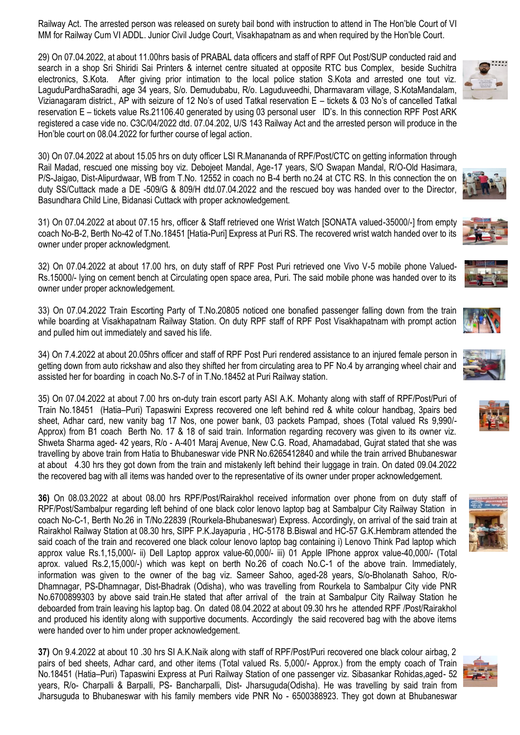Railway Act. The arrested person was released on surety bail bond with instruction to attend in The Hon'ble Court of VI MM for Railway Cum VI ADDL. Junior Civil Judge Court, Visakhapatnam as and when required by the Hon'ble Court.

29) On 07.04.2022, at about 11.00hrs basis of PRABAL data officers and staff of RPF Out Post/SUP conducted raid and search in a shop Sri Shiridi Sai Printers & internet centre situated at opposite RTC bus Complex, beside Suchitra electronics, S.Kota. After giving prior intimation to the local police station S.Kota and arrested one tout viz. LaguduPardhaSaradhi, age 34 years, S/o. Demudubabu, R/o. Laguduveedhi, Dharmavaram village, S.KotaMandalam, Vizianagaram district., AP with seizure of 12 No's of used Tatkal reservation E – tickets & 03 No's of cancelled Tatkal reservation E – tickets value Rs.21106.40 generated by using 03 personal user ID's. In this connection RPF Post ARK registered a case vide no. C3C/04/2022 dtd. 07.04.202, U/S 143 Railway Act and the arrested person will produce in the Hon'ble court on 08.04.2022 for further course of legal action.

30) On 07.04.2022 at about 15.05 hrs on duty officer LSI R.Manananda of RPF/Post/CTC on getting information through Rail Madad, rescued one missing boy viz. Debojeet Mandal, Age-17 years, S/O Swapan Mandal, R/O-Old Hasimara, P/S-Jaigao, Dist-Alipurdwaar, WB from T.No. 12552 in coach no B-4 berth no.24 at CTC RS. In this connection the on duty SS/Cuttack made a DE -509/G & 809/H dtd.07.04.2022 and the rescued boy was handed over to the Director, Basundhara Child Line, Bidanasi Cuttack with proper acknowledgement.

31) On 07.04.2022 at about 07.15 hrs, officer & Staff retrieved one Wrist Watch [SONATA valued-35000/-] from empty coach No-B-2, Berth No-42 of T.No.18451 [Hatia-Puri] Express at Puri RS. The recovered wrist watch handed over to its owner under proper acknowledgment.

32) On 07.04.2022 at about 17.00 hrs, on duty staff of RPF Post Puri retrieved one Vivo V-5 mobile phone Valued-Rs.15000/- lying on cement bench at Circulating open space area, Puri. The said mobile phone was handed over to its owner under proper acknowledgement.

33) On 07.04.2022 Train Escorting Party of T.No.20805 noticed one bonafied passenger falling down from the train while boarding at Visakhapatnam Railway Station. On duty RPF staff of RPF Post Visakhapatnam with prompt action and pulled him out immediately and saved his life.

34) On 7.4.2022 at about 20.05hrs officer and staff of RPF Post Puri rendered assistance to an injured female person in getting down from auto rickshaw and also they shifted her from circulating area to PF No.4 by arranging wheel chair and assisted her for boarding in coach No.S-7 of in T.No.18452 at Puri Railway station.

35) On 07.04.2022 at about 7.00 hrs on-duty train escort party ASI A.K. Mohanty along with staff of RPF/Post/Puri of Train No.18451 (Hatia–Puri) Tapaswini Express recovered one left behind red & white colour handbag, 3pairs bed sheet, Adhar card, new vanity bag 17 Nos, one power bank, 03 packets Pampad, shoes (Total valued Rs 9,990/- Approx) from B1 coach Berth No. 17 & 18 of said train. Information regarding recovery was given to its owner viz. Shweta Sharma aged- 42 years, R/o - A-401 Maraj Avenue, New C.G. Road, Ahamadabad, Gujrat stated that she was travelling by above train from Hatia to Bhubaneswar vide PNR No.6265412840 and while the train arrived Bhubaneswar at about 4.30 hrs they got down from the train and mistakenly left behind their luggage in train. On dated 09.04.2022 the recovered bag with all items was handed over to the representative of its owner under proper acknowledgement.

**36)** On 08.03.2022 at about 08.00 hrs RPF/Post/Rairakhol received information over phone from on duty staff of RPF/Post/Sambalpur regarding left behind of one black color lenovo laptop bag at Sambalpur City Railway Station in coach No-C-1, Berth No.26 in T/No.22839 (Rourkela-Bhubaneswar) Express. Accordingly, on arrival of the said train at Rairakhol Railway Station at 08.30 hrs, SIPF P.K.Jayapuria , HC-5178 B.Biswal and HC-57 G.K.Hembram attended the said coach of the train and recovered one black colour lenovo laptop bag containing i) Lenovo Think Pad laptop which approx value Rs.1,15,000/- ii) Dell Laptop approx value-60,000/- iii) 01 Apple IPhone approx value-40,000/- (Total aprox. valued Rs.2,15,000/-) which was kept on berth No.26 of coach No.C-1 of the above train. Immediately, information was given to the owner of the bag viz. Sameer Sahoo, aged-28 years, S/o-Bholanath Sahoo, R/o-Dhamnagar, PS-Dhamnagar, Dist-Bhadrak (Odisha), who was travelling from Rourkela to Sambalpur City vide PNR No.6700899303 by above said train.He stated that after arrival of the train at Sambalpur City Railway Station he deboarded from train leaving his laptop bag. On dated 08.04.2022 at about 09.30 hrs he attended RPF /Post/Rairakhol and produced his identity along with supportive documents. Accordingly the said recovered bag with the above items were handed over to him under proper acknowledgement.

**37)** On 9.4.2022 at about 10 .30 hrs SI A.K.Naik along with staff of RPF/Post/Puri recovered one black colour airbag, 2 pairs of bed sheets, Adhar card, and other items (Total valued Rs. 5,000/- Approx.) from the empty coach of Train No.18451 (Hatia–Puri) Tapaswini Express at Puri Railway Station of one passenger viz. Sibasankar Rohidas,aged- 52 years, R/o- Charpalli & Barpalli, PS- Bancharpalli, Dist- Jharsuguda(Odisha). He was travelling by said train from Jharsuguda to Bhubaneswar with his family members vide PNR No - 6500388923. They got down at Bhubaneswar













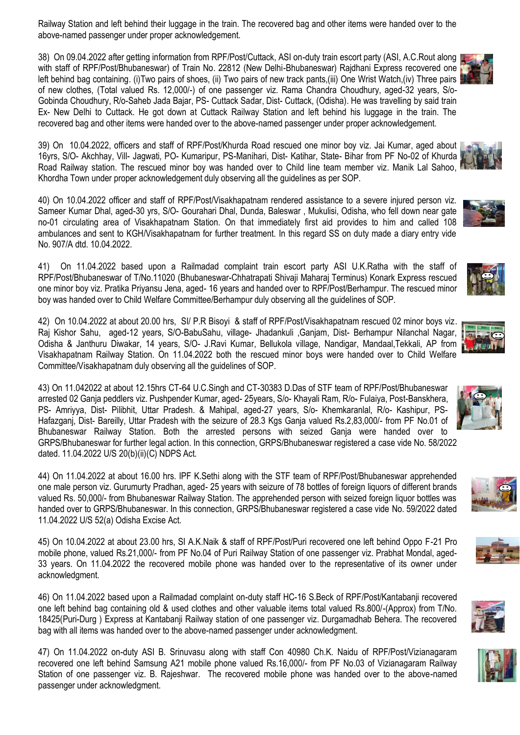Railway Station and left behind their luggage in the train. The recovered bag and other items were handed over to the above-named passenger under proper acknowledgement.

38) On 09.04.2022 after getting information from RPF/Post/Cuttack, ASI on-duty train escort party (ASI, A.C.Rout along with staff of RPF/Post/Bhubaneswar) of Train No. 22812 (New Delhi-Bhubaneswar) Rajdhani Express recovered one left behind bag containing. (i)Two pairs of shoes, (ii) Two pairs of new track pants, (iii) One Wrist Watch, (iv) Three pairs of new clothes, (Total valued Rs. 12,000/-) of one passenger viz. Rama Chandra Choudhury, aged-32 years, S/o-Gobinda Choudhury, R/o-Saheb Jada Bajar, PS- Cuttack Sadar, Dist- Cuttack, (Odisha). He was travelling by said train Ex- New Delhi to Cuttack. He got down at Cuttack Railway Station and left behind his luggage in the train. The recovered bag and other items were handed over to the above-named passenger under proper acknowledgement.

39) On 10.04.2022, officers and staff of RPF/Post/Khurda Road rescued one minor boy viz. Jai Kumar, aged about 16yrs, S/O- Akchhay, Vill- Jagwati, PO- Kumaripur, PS-Manihari, Dist- Katihar, State- Bihar from PF No-02 of Khurda Road Railway station. The rescued minor boy was handed over to Child line team member viz. Manik Lal Sahoo, Khordha Town under proper acknowledgement duly observing all the guidelines as per SOP.

40) On 10.04.2022 officer and staff of RPF/Post/Visakhapatnam rendered assistance to a severe injured person viz. Sameer Kumar Dhal, aged-30 yrs, S/O- Gourahari Dhal, Dunda, Baleswar , Mukulisi, Odisha, who fell down near gate no-01 circulating area of Visakhapatnam Station. On that immediately first aid provides to him and called 108 ambulances and sent to KGH/Visakhapatnam for further treatment. In this regard SS on duty made a diary entry vide No. 907/A dtd. 10.04.2022.

41) On 11.04.2022 based upon a Railmadad complaint train escort party ASI U.K.Ratha with the staff of RPF/Post/Bhubaneswar of T/No.11020 (Bhubaneswar-Chhatrapati Shivaji Maharaj Terminus) Konark Express rescued one minor boy viz. Pratika Priyansu Jena, aged- 16 years and handed over to RPF/Post/Berhampur. The rescued minor boy was handed over to Child Welfare Committee/Berhampur duly observing all the guidelines of SOP.

42) On 10.04.2022 at about 20.00 hrs, SI/ P.R Bisoyi & staff of RPF/Post/Visakhapatnam rescued 02 minor boys viz. Raj Kishor Sahu, aged-12 years, S/O-BabuSahu, village- Jhadankuli ,Ganjam, Dist- Berhampur Nilanchal Nagar, Odisha & Janthuru Diwakar, 14 years, S/O- J.Ravi Kumar, Bellukola village, Nandigar, Mandaal,Tekkali, AP from Visakhapatnam Railway Station. On 11.04.2022 both the rescued minor boys were handed over to Child Welfare Committee/Visakhapatnam duly observing all the guidelines of SOP.

43) On 11.042022 at about 12.15hrs CT-64 U.C.Singh and CT-30383 D.Das of STF team of RPF/Post/Bhubaneswar arrested 02 Ganja peddlers viz. Pushpender Kumar, aged- 25years, S/o- Khayali Ram, R/o- Fulaiya, Post-Banskhera, PS- Amriyya, Dist- Pilibhit, Uttar Pradesh. & Mahipal, aged-27 years, S/o- Khemkaranlal, R/o- Kashipur, PS-Hafazganj, Dist- Bareilly, Uttar Pradesh with the seizure of 28.3 Kgs Ganja valued Rs.2,83,000/- from PF No.01 of Bhubaneswar Railway Station. Both the arrested persons with seized Ganja were handed over to GRPS/Bhubaneswar for further legal action. In this connection, GRPS/Bhubaneswar registered a case vide No. 58/2022 dated. 11.04.2022 U/S 20(b)(ii)(C) NDPS Act.

44) On 11.04.2022 at about 16.00 hrs. IPF K.Sethi along with the STF team of RPF/Post/Bhubaneswar apprehended one male person viz. Gurumurty Pradhan, aged- 25 years with seizure of 78 bottles of foreign liquors of different brands valued Rs. 50,000/- from Bhubaneswar Railway Station. The apprehended person with seized foreign liquor bottles was handed over to GRPS/Bhubaneswar. In this connection, GRPS/Bhubaneswar registered a case vide No. 59/2022 dated 11.04.2022 U/S 52(a) Odisha Excise Act.

45) On 10.04.2022 at about 23.00 hrs, SI A.K.Naik & staff of RPF/Post/Puri recovered one left behind Oppo F-21 Pro mobile phone, valued Rs.21,000/- from PF No.04 of Puri Railway Station of one passenger viz. Prabhat Mondal, aged-33 years. On 11.04.2022 the recovered mobile phone was handed over to the representative of its owner under acknowledgment.

46) On 11.04.2022 based upon a Railmadad complaint on-duty staff HC-16 S.Beck of RPF/Post/Kantabanji recovered one left behind bag containing old & used clothes and other valuable items total valued Rs.800/-(Approx) from T/No. 18425(Puri-Durg ) Express at Kantabanji Railway station of one passenger viz. Durgamadhab Behera. The recovered bag with all items was handed over to the above-named passenger under acknowledgment.

47) On 11.04.2022 on-duty ASI B. Srinuvasu along with staff Con 40980 Ch.K. Naidu of RPF/Post/Vizianagaram recovered one left behind Samsung A21 mobile phone valued Rs.16,000/- from PF No.03 of Vizianagaram Railway Station of one passenger viz. B. Rajeshwar. The recovered mobile phone was handed over to the above-named passenger under acknowledgment.











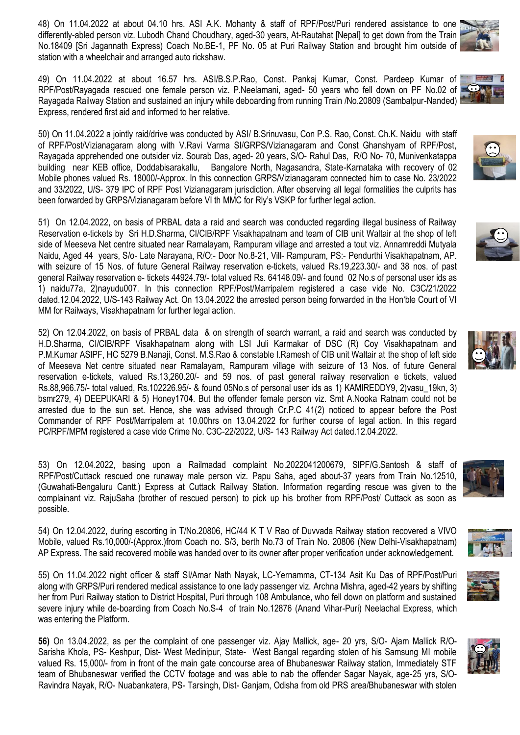48) On 11.04.2022 at about 04.10 hrs. ASI A.K. Mohanty & staff of RPF/Post/Puri rendered assistance to one differently-abled person viz. Lubodh Chand Choudhary, aged-30 years, At-Rautahat [Nepal] to get down from the Train No.18409 [Sri Jagannath Express) Coach No.BE-1, PF No. 05 at Puri Railway Station and brought him outside of station with a wheelchair and arranged auto rickshaw.

49) On 11.04.2022 at about 16.57 hrs. ASI/B.S.P.Rao, Const. Pankaj Kumar, Const. Pardeep Kumar of RPF/Post/Rayagada rescued one female person viz. P.Neelamani, aged- 50 years who fell down on PF No.02 of Rayagada Railway Station and sustained an injury while deboarding from running Train /No.20809 (Sambalpur-Nanded) Express, rendered first aid and informed to her relative.

50) On 11.04.2022 a jointly raid/drive was conducted by ASI/ B.Srinuvasu, Con P.S. Rao, Const. Ch.K. Naidu with staff of RPF/Post/Vizianagaram along with V.Ravi Varma SI/GRPS/Vizianagaram and Const Ghanshyam of RPF/Post, Rayagada apprehended one outsider viz. Sourab Das, aged- 20 years, S/O- Rahul Das, R/O No- 70, Munivenkatappa building near KEB office, Doddabisarakallu, Bangalore North, Nagasandra, State-Karnataka with recovery of 02 Mobile phones valued Rs. 18000/-Approx. In this connection GRPS/Vizianagaram connected him to case No. 23/2022 and 33/2022, U/S- 379 IPC of RPF Post Vizianagaram jurisdiction. After observing all legal formalities the culprits has been forwarded by GRPS/Vizianagaram before VI th MMC for Rly's VSKP for further legal action.

51) On 12.04.2022, on basis of PRBAL data a raid and search was conducted regarding illegal business of Railway Reservation e-tickets by Sri H.D.Sharma, CI/CIB/RPF Visakhapatnam and team of CIB unit Waltair at the shop of left side of Meeseva Net centre situated near Ramalayam, Rampuram village and arrested a tout viz. Annamreddi Mutyala Naidu, Aged 44 years, S/o- Late Narayana, R/O:- Door No.8-21, Vill- Rampuram, PS:- Pendurthi Visakhapatnam, AP. with seizure of 15 Nos. of future General Railway reservation e-tickets, valued Rs.19,223.30/- and 38 nos. of past general Railway reservation e- tickets 44924.79/- total valued Rs. 64148.09/- and found 02 No.s of personal user ids as 1) naidu77a, 2)nayudu007. In this connection RPF/Post/Marripalem registered a case vide No. C3C/21/2022 dated.12.04.2022, U/S-143 Railway Act. On 13.04.2022 the arrested person being forwarded in the Hon'ble Court of VI MM for Railways, Visakhapatnam for further legal action.

52) On 12.04.2022, on basis of PRBAL data & on strength of search warrant, a raid and search was conducted by H.D.Sharma, CI/CIB/RPF Visakhapatnam along with LSI Juli Karmakar of DSC (R) Coy Visakhapatnam and P.M.Kumar ASIPF, HC 5279 B.Nanaji, Const. M.S.Rao & constable I.Ramesh of CIB unit Waltair at the shop of left side of Meeseva Net centre situated near Ramalayam, Rampuram village with seizure of 13 Nos. of future General reservation e-tickets, valued Rs.13,260.20/- and 59 nos. of past general railway reservation e tickets, valued Rs.88,966.75/- total valued, Rs.102226.95/- & found 05No.s of personal user ids as 1) KAMIREDDY9, 2)vasu\_19kn, 3) bsmr279, 4) DEEPUKARI & 5) Honey170**4**. But the offender female person viz. Smt A.Nooka Ratnam could not be arrested due to the sun set. Hence, she was advised through Cr.P.C 41(2) noticed to appear before the Post Commander of RPF Post/Marripalem at 10.00hrs on 13.04.2022 for further course of legal action. In this regard PC/RPF/MPM registered a case vide Crime No. C3C-22/2022, U/S- 143 Railway Act dated.12.04.2022.

53) On 12.04.2022, basing upon a Railmadad complaint No.2022041200679, SIPF/G.Santosh & staff of RPF/Post/Cuttack rescued one runaway male person viz. Papu Saha, aged about-37 years from Train No.12510, (Guwahati-Bengaluru Cantt.) Express at Cuttack Railway Station. Information regarding rescue was given to the complainant viz. RajuSaha (brother of rescued person) to pick up his brother from RPF/Post/ Cuttack as soon as possible.

54) On 12.04.2022, during escorting in T/No.20806, HC/44 K T V Rao of Duvvada Railway station recovered a VIVO Mobile, valued Rs.10,000/-(Approx.)from Coach no. S/3, berth No.73 of Train No. 20806 (New Delhi-Visakhapatnam) AP Express. The said recovered mobile was handed over to its owner after proper verification under acknowledgement.

55) On 11.04.2022 night officer & staff SI/Amar Nath Nayak, LC-Yernamma, CT-134 Asit Ku Das of RPF/Post/Puri along with GRPS/Puri rendered medical assistance to one lady passenger viz. Archna Mishra, aged-42 years by shifting her from Puri Railway station to District Hospital, Puri through 108 Ambulance, who fell down on platform and sustained severe injury while de-boarding from Coach No.S-4 of train No.12876 (Anand Vihar-Puri) Neelachal Express, which was entering the Platform.

**56)** On 13.04.2022, as per the complaint of one passenger viz. Ajay Mallick, age- 20 yrs, S/O- Ajam Mallick R/O-Sarisha Khola, PS- Keshpur, Dist- West Medinipur, State- West Bangal regarding stolen of his Samsung MI mobile valued Rs. 15,000/- from in front of the main gate concourse area of Bhubaneswar Railway station, Immediately STF team of Bhubaneswar verified the CCTV footage and was able to nab the offender Sagar Nayak, age-25 yrs, S/O-Ravindra Nayak, R/O- Nuabankatera, PS- Tarsingh, Dist- Ganjam, Odisha from old PRS area/Bhubaneswar with stolen











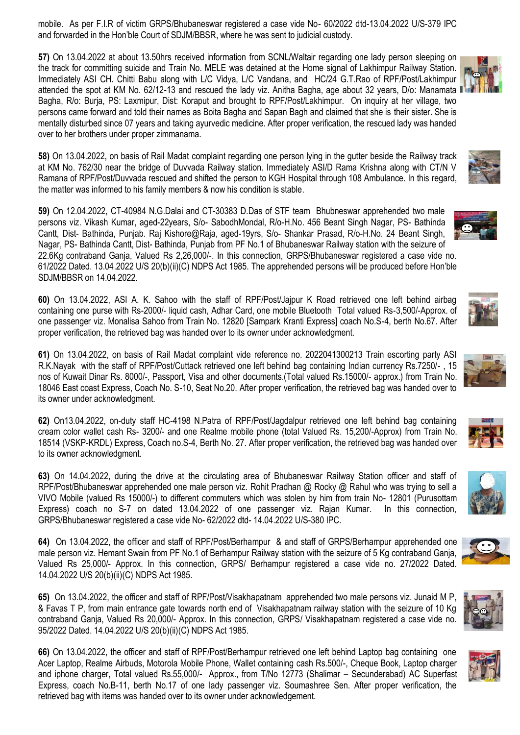mobile. As per F.I.R of victim GRPS/Bhubaneswar registered a case vide No- 60/2022 dtd-13.04.2022 U/S-379 IPC and forwarded in the Hon'ble Court of SDJM/BBSR, where he was sent to judicial custody.

**57)** On 13.04.2022 at about 13.50hrs received information from SCNL/Waltair regarding one lady person sleeping on the track for committing suicide and Train No. MELE was detained at the Home signal of Lakhimpur Railway Station. Immediately ASI CH. Chitti Babu along with L/C Vidya, L/C Vandana, and HC/24 G.T.Rao of RPF/Post/Lakhimpur attended the spot at KM No. 62/12-13 and rescued the lady viz. Anitha Bagha, age about 32 years, D/o: Manamata Bagha, R/o: Burja, PS: Laxmipur, Dist: Koraput and brought to RPF/Post/Lakhimpur. On inquiry at her village, two persons came forward and told their names as Boita Bagha and Sapan Bagh and claimed that she is their sister. She is mentally disturbed since 07 years and taking ayurvedic medicine. After proper verification, the rescued lady was handed over to her brothers under proper zimmanama.

**58)** On 13.04.2022, on basis of Rail Madat complaint regarding one person lying in the gutter beside the Railway track at KM No. 762/30 near the bridge of Duvvada Railway station. Immediately ASI/D Rama Krishna along with CT/N V Ramana of RPF/Post/Duvvada rescued and shifted the person to KGH Hospital through 108 Ambulance. In this regard, the matter was informed to his family members & now his condition is stable.

**59)** On 12.04.2022, CT-40984 N.G.Dalai and CT-30383 D.Das of STF team Bhubneswar apprehended two male persons viz. Vikash Kumar, aged-22years, S/o- SabodhMondal, R/o-H.No. 456 Beant Singh Nagar, PS- Bathinda Cantt, Dist- Bathinda, Punjab. Raj Kishore@Raja, aged-19yrs, S/o- Shankar Prasad, R/o-H.No. 24 Beant Singh, Nagar, PS- Bathinda Cantt, Dist- Bathinda, Punjab from PF No.1 of Bhubaneswar Railway station with the seizure of 22.6Kg contraband Ganja, Valued Rs 2,26,000/-. In this connection, GRPS/Bhubaneswar registered a case vide no. 61/2022 Dated. 13.04.2022 U/S 20(b)(ii)(C) NDPS Act 1985. The apprehended persons will be produced before Hon'ble SDJM/BBSR on 14.04.2022.

**60)** On 13.04.2022, ASI A. K. Sahoo with the staff of RPF/Post/Jajpur K Road retrieved one left behind airbag containing one purse with Rs-2000/- liquid cash, Adhar Card, one mobile Bluetooth Total valued Rs-3,500/-Approx. of one passenger viz. Monalisa Sahoo from Train No. 12820 [Sampark Kranti Express] coach No.S-4, berth No.67. After proper verification, the retrieved bag was handed over to its owner under acknowledgment.

**61)** On 13.04.2022, on basis of Rail Madat complaint vide reference no. 2022041300213 Train escorting party ASI R.K.Nayak with the staff of RPF/Post/Cuttack retrieved one left behind bag containing Indian currency Rs.7250/- , 15 nos of Kuwait Dinar Rs. 8000/-, Passport, Visa and other documents.(Total valued Rs.15000/- approx.) from Train No. 18046 East coast Express, Coach No. S-10, Seat No.20. After proper verification, the retrieved bag was handed over to its owner under acknowledgment.

**62)** On13.04.2022, on-duty staff HC-4198 N.Patra of RPF/Post/Jagdalpur retrieved one left behind bag containing cream color wallet cash Rs- 3200/- and one Realme mobile phone (total Valued Rs. 15,200/-Approx) from Train No. 18514 (VSKP-KRDL) Express, Coach no.S-4, Berth No. 27. After proper verification, the retrieved bag was handed over to its owner acknowledgment.

**63)** On 14.04.2022, during the drive at the circulating area of Bhubaneswar Railway Station officer and staff of RPF/Post/Bhubaneswar apprehended one male person viz. Rohit Pradhan @ Rocky @ Rahul who was trying to sell a VIVO Mobile (valued Rs 15000/-) to different commuters which was stolen by him from train No- 12801 (Purusottam Express) coach no S-7 on dated 13.04.2022 of one passenger viz. Rajan Kumar. In this connection, GRPS/Bhubaneswar registered a case vide No- 62/2022 dtd- 14.04.2022 U/S-380 IPC.

**64)** On 13.04.2022, the officer and staff of RPF/Post/Berhampur & and staff of GRPS/Berhampur apprehended one male person viz. Hemant Swain from PF No.1 of Berhampur Railway station with the seizure of 5 Kg contraband Ganja, Valued Rs 25,000/- Approx. In this connection, GRPS/ Berhampur registered a case vide no. 27/2022 Dated. 14.04.2022 U/S 20(b)(ii)(C) NDPS Act 1985.

**65)** On 13.04.2022, the officer and staff of RPF/Post/Visakhapatnam apprehended two male persons viz. Junaid M P, & Favas T P, from main entrance gate towards north end of Visakhapatnam railway station with the seizure of 10 Kg contraband Ganja, Valued Rs 20,000/- Approx. In this connection, GRPS/ Visakhapatnam registered a case vide no. 95/2022 Dated. 14.04.2022 U/S 20(b)(ii)(C) NDPS Act 1985.

**66)** On 13.04.2022, the officer and staff of RPF/Post/Berhampur retrieved one left behind Laptop bag containing one Acer Laptop, Realme Airbuds, Motorola Mobile Phone, Wallet containing cash Rs.500/-, Cheque Book, Laptop charger and iphone charger, Total valued Rs.55,000/- Approx., from T/No 12773 (Shalimar – Secunderabad) AC Superfast Express, coach No.B-11, berth No.17 of one lady passenger viz. Soumashree Sen. After proper verification, the retrieved bag with items was handed over to its owner under acknowledgement.